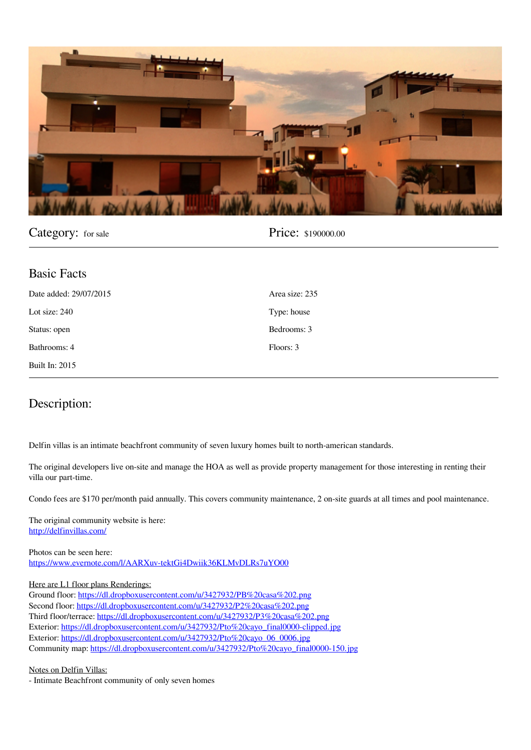

## Category: for sale **Price:** \$190000.00

| <b>Basic Facts</b>     |                |
|------------------------|----------------|
| Date added: 29/07/2015 | Area size: 235 |
| Lot size: $240$        | Type: house    |
| Status: open           | Bedrooms: 3    |
| Bathrooms: 4           | Floors: 3      |
| <b>Built In: 2015</b>  |                |

## **Description:**

Delfin villas is an intimate beachfront community of seven luxury homes built to north-american standards.

The original developers live on-site and manage the HOA as well as provide property management for those interesting in renting their villa our part-time.

Condo fees are \$170 per/month paid annually. This covers community maintenance, 2 on-site guards at all times and pool maintenance.

**The original community website is here:** <http://delfinvillas.com/>

**Photos can be seen here:** https://www.evernote.com/l/AARXuv-tektGi4Dwiik36KLMvDLRs7uYO00

## **Here are L1 floor plans Renderings:**

Ground floor: https://dl.dropboxusercontent.com/u/3427932/PB%20casa%202.png Second floor: https://dl.dropboxusercontent.com/u/3427932/P2%20casa%202.png Third floor/terrace: https://dl.dropboxusercontent.com/u/3427932/P3%20casa%202.png Exterior: https://dl.dropboxusercontent.com/u/3427932/Pto%20cayo\_final0000-clipped.jpg Exterior: https://dl.dropboxusercontent.com/u/3427932/Pto%20cayo\_06\_0006.jpg Community map: https://dl.dropboxusercontent.com/u/3427932/Pto%20cayo\_final0000-150.jpg

**Notes on Delfin Villas:**

- Intimate Beachfront community of only seven homes